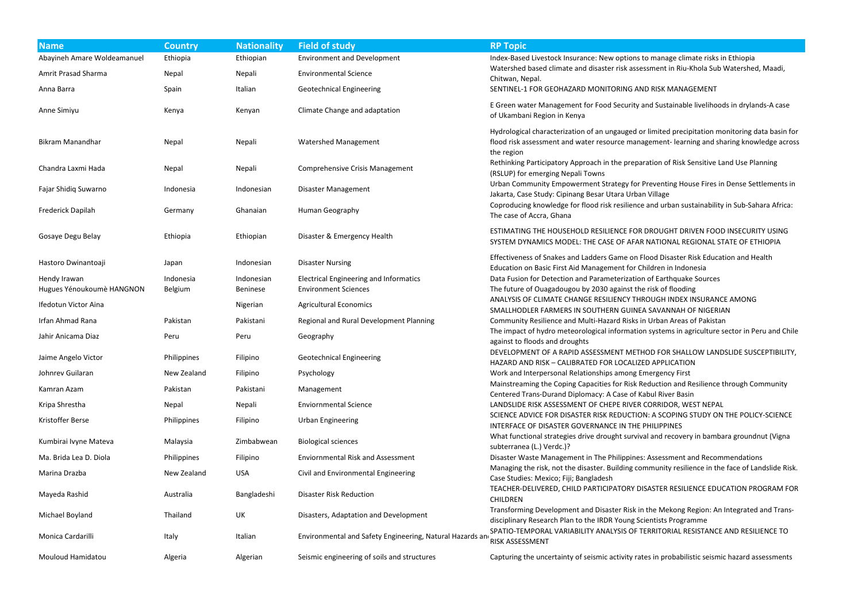| <b>Name</b>                               | <b>Country</b>       | <b>Nationality</b>            | <b>Field of study</b>                                                        | <b>RP Topic</b>                                                                                                                                                                                          |
|-------------------------------------------|----------------------|-------------------------------|------------------------------------------------------------------------------|----------------------------------------------------------------------------------------------------------------------------------------------------------------------------------------------------------|
| Abayineh Amare Woldeamanuel               | Ethiopia             | Ethiopian                     | <b>Environment and Development</b>                                           | Index-Based Livestock Insurance: New options to manage climate risks in Ethiopia                                                                                                                         |
| Amrit Prasad Sharma                       | Nepal                | Nepali                        | <b>Environmental Science</b>                                                 | Watershed based climate and disaster risk assessment in Riu-Khola Sub Watershed, Maadi,                                                                                                                  |
| Anna Barra                                | Spain                | Italian                       | <b>Geotechnical Engineering</b>                                              | Chitwan, Nepal.<br>SENTINEL-1 FOR GEOHAZARD MONITORING AND RISK MANAGEMENT                                                                                                                               |
| Anne Simiyu                               | Kenya                | Kenyan                        | Climate Change and adaptation                                                | E Green water Management for Food Security and Sustainable livelihoods in drylands-A case<br>of Ukambani Region in Kenya                                                                                 |
| <b>Bikram Manandhar</b>                   | Nepal                | Nepali                        | Watershed Management                                                         | Hydrological characterization of an ungauged or limited precipitation monitoring data basin fo<br>flood risk assessment and water resource management-learning and sharing knowledge acros<br>the region |
| Chandra Laxmi Hada                        | Nepal                | Nepali                        | Comprehensive Crisis Management                                              | Rethinking Participatory Approach in the preparation of Risk Sensitive Land Use Planning<br>(RSLUP) for emerging Nepali Towns                                                                            |
| Fajar Shidiq Suwarno                      | Indonesia            | Indonesian                    | Disaster Management                                                          | Urban Community Empowerment Strategy for Preventing House Fires in Dense Settlements in<br>Jakarta, Case Study: Cipinang Besar Utara Urban Village                                                       |
| Frederick Dapilah                         | Germany              | Ghanaian                      | Human Geography                                                              | Coproducing knowledge for flood risk resilience and urban sustainability in Sub-Sahara Africa:<br>The case of Accra, Ghana                                                                               |
| Gosaye Degu Belay                         | Ethiopia             | Ethiopian                     | Disaster & Emergency Health                                                  | ESTIMATING THE HOUSEHOLD RESILIENCE FOR DROUGHT DRIVEN FOOD INSECURITY USING<br>SYSTEM DYNAMICS MODEL: THE CASE OF AFAR NATIONAL REGIONAL STATE OF ETHIOPIA                                              |
| Hastoro Dwinantoaji                       | Japan                | Indonesian                    | <b>Disaster Nursing</b>                                                      | Effectiveness of Snakes and Ladders Game on Flood Disaster Risk Education and Health<br>Education on Basic First Aid Management for Children in Indonesia                                                |
| Hendy Irawan<br>Hugues Yénoukoumè HANGNON | Indonesia<br>Belgium | Indonesian<br><b>Beninese</b> | <b>Electrical Engineering and Informatics</b><br><b>Environment Sciences</b> | Data Fusion for Detection and Parameterization of Earthquake Sources<br>The future of Ouagadougou by 2030 against the risk of flooding                                                                   |
| Ifedotun Victor Aina                      |                      | Nigerian                      | <b>Agricultural Economics</b>                                                | ANALYSIS OF CLIMATE CHANGE RESILIENCY THROUGH INDEX INSURANCE AMONG                                                                                                                                      |
| Irfan Ahmad Rana                          | Pakistan             | Pakistani                     | Regional and Rural Development Planning                                      | SMALLHODLER FARMERS IN SOUTHERN GUINEA SAVANNAH OF NIGERIAN<br>Community Resilience and Multi-Hazard Risks in Urban Areas of Pakistan                                                                    |
| Jahir Anicama Diaz                        | Peru                 | Peru                          | Geography                                                                    | The impact of hydro meteorological information systems in agriculture sector in Peru and Chil<br>against to floods and droughts                                                                          |
| Jaime Angelo Victor                       | <b>Philippines</b>   | <b>Filipino</b>               | <b>Geotechnical Engineering</b>                                              | DEVELOPMENT OF A RAPID ASSESSMENT METHOD FOR SHALLOW LANDSLIDE SUSCEPTIBILITY<br>HAZARD AND RISK - CALIBRATED FOR LOCALIZED APPLICATION                                                                  |
| Johnrev Guilaran                          | New Zealand          | Filipino                      | Psychology                                                                   | Work and Interpersonal Relationships among Emergency First                                                                                                                                               |
| Kamran Azam                               | Pakistan             | Pakistani                     | Management                                                                   | Mainstreaming the Coping Capacities for Risk Reduction and Resilience through Community                                                                                                                  |
| Kripa Shrestha                            | Nepal                | Nepali                        | <b>Enviornmental Science</b>                                                 | Centered Trans-Durand Diplomacy: A Case of Kabul River Basin<br>LANDSLIDE RISK ASSESSMENT OF CHEPE RIVER CORRIDOR, WEST NEPAL                                                                            |
| Kristoffer Berse                          | Philippines          | Filipino                      | <b>Urban Engineering</b>                                                     | SCIENCE ADVICE FOR DISASTER RISK REDUCTION: A SCOPING STUDY ON THE POLICY-SCIENCE<br>INTERFACE OF DISASTER GOVERNANCE IN THE PHILIPPINES                                                                 |
| Kumbirai Ivyne Mateva                     | Malaysia             | Zimbabwean                    | <b>Biological sciences</b>                                                   | What functional strategies drive drought survival and recovery in bambara groundnut (Vigna<br>subterranea (L.) Verdc.)?                                                                                  |
| Ma. Brida Lea D. Diola                    | Philippines          | Filipino                      | <b>Enviornmental Risk and Assessment</b>                                     | Disaster Waste Management in The Philippines: Assessment and Recommendations                                                                                                                             |
| Marina Drazba                             | New Zealand          | <b>USA</b>                    | Civil and Environmental Engineering                                          | Managing the risk, not the disaster. Building community resilience in the face of Landslide Risl<br>Case Studies: Mexico; Fiji; Bangladesh                                                               |
| Mayeda Rashid                             | Australia            | Bangladeshi                   | <b>Disaster Risk Reduction</b>                                               | TEACHER-DELIVERED, CHILD PARTICIPATORY DISASTER RESILIENCE EDUCATION PROGRAM FO<br><b>CHILDREN</b>                                                                                                       |
| Michael Boyland                           | Thailand             | UK                            | Disasters, Adaptation and Development                                        | Transforming Development and Disaster Risk in the Mekong Region: An Integrated and Trans-<br>disciplinary Research Plan to the IRDR Young Scientists Programme                                           |
| Monica Cardarilli                         | Italy                | Italian                       | Environmental and Safety Engineering, Natural Hazards an                     | SPATIO-TEMPORAL VARIABILITY ANALYSIS OF TERRITORIAL RESISTANCE AND RESILIENCE TO<br>RISK ASSESSMENT                                                                                                      |
| Mouloud Hamidatou                         | Algeria              | Algerian                      | Seismic engineering of soils and structures                                  | Capturing the uncertainty of seismic activity rates in probabilistic seismic hazard assessments                                                                                                          |